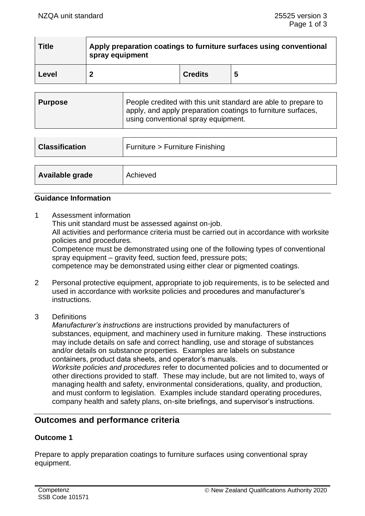| <b>Title</b> | Apply preparation coatings to furniture surfaces using conventional<br>spray equipment |                |   |
|--------------|----------------------------------------------------------------------------------------|----------------|---|
| Level        |                                                                                        | <b>Credits</b> | 5 |

| Purpose | People credited with this unit standard are able to prepare to<br>apply, and apply preparation coatings to furniture surfaces,<br>using conventional spray equipment. |
|---------|-----------------------------------------------------------------------------------------------------------------------------------------------------------------------|
|         |                                                                                                                                                                       |

| <b>Classification</b> | Furniture > Furniture Finishing |
|-----------------------|---------------------------------|
|                       |                                 |
| Available grade       | Achieved                        |

### **Guidance Information**

1 Assessment information

This unit standard must be assessed against on-job.

All activities and performance criteria must be carried out in accordance with worksite policies and procedures.

Competence must be demonstrated using one of the following types of conventional spray equipment – gravity feed, suction feed, pressure pots;

competence may be demonstrated using either clear or pigmented coatings.

- 2 Personal protective equipment, appropriate to job requirements, is to be selected and used in accordance with worksite policies and procedures and manufacturer's instructions.
- 3 Definitions

*Manufacturer's instructions* are instructions provided by manufacturers of substances, equipment, and machinery used in furniture making. These instructions may include details on safe and correct handling, use and storage of substances and/or details on substance properties. Examples are labels on substance containers, product data sheets, and operator's manuals.

*Worksite policies and procedures* refer to documented policies and to documented or other directions provided to staff. These may include, but are not limited to, ways of managing health and safety, environmental considerations, quality, and production, and must conform to legislation. Examples include standard operating procedures, company health and safety plans, on-site briefings, and supervisor's instructions.

## **Outcomes and performance criteria**

## **Outcome 1**

Prepare to apply preparation coatings to furniture surfaces using conventional spray equipment.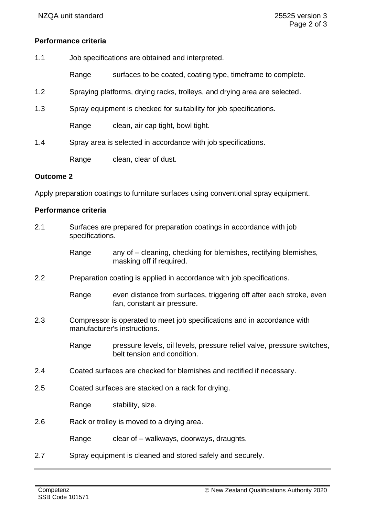## **Performance criteria**

- 1.1 Job specifications are obtained and interpreted.
	- Range surfaces to be coated, coating type, timeframe to complete.
- 1.2 Spraying platforms, drying racks, trolleys, and drying area are selected.
- 1.3 Spray equipment is checked for suitability for job specifications.

Range clean, air cap tight, bowl tight.

1.4 Spray area is selected in accordance with job specifications.

Range clean, clear of dust.

#### **Outcome 2**

Apply preparation coatings to furniture surfaces using conventional spray equipment.

#### **Performance criteria**

| 2.1           | Surfaces are prepared for preparation coatings in accordance with job<br>specifications.                 |                                                                                                       |  |
|---------------|----------------------------------------------------------------------------------------------------------|-------------------------------------------------------------------------------------------------------|--|
|               | Range                                                                                                    | any of – cleaning, checking for blemishes, rectifying blemishes,<br>masking off if required.          |  |
| 2.2           | Preparation coating is applied in accordance with job specifications.                                    |                                                                                                       |  |
|               | Range                                                                                                    | even distance from surfaces, triggering off after each stroke, even<br>fan, constant air pressure.    |  |
| 2.3           | Compressor is operated to meet job specifications and in accordance with<br>manufacturer's instructions. |                                                                                                       |  |
|               | Range                                                                                                    | pressure levels, oil levels, pressure relief valve, pressure switches,<br>belt tension and condition. |  |
| 2.4           | Coated surfaces are checked for blemishes and rectified if necessary.                                    |                                                                                                       |  |
| 2.5           | Coated surfaces are stacked on a rack for drying.                                                        |                                                                                                       |  |
|               | Range                                                                                                    | stability, size.                                                                                      |  |
| 2.6           | Rack or trolley is moved to a drying area.                                                               |                                                                                                       |  |
|               | Range                                                                                                    | clear of – walkways, doorways, draughts.                                                              |  |
| $\sim$ $\sim$ |                                                                                                          | On rest existence out to please all enable to real particles and processed is                         |  |

2.7 Spray equipment is cleaned and stored safely and securely.